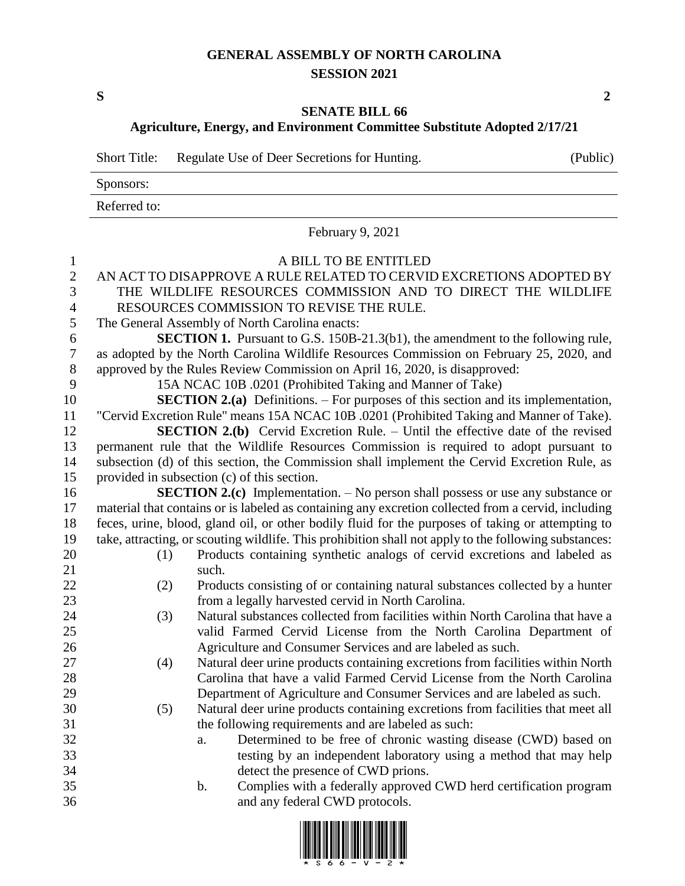## **GENERAL ASSEMBLY OF NORTH CAROLINA SESSION 2021**

**S 2**

## **SENATE BILL 66**

**Agriculture, Energy, and Environment Committee Substitute Adopted 2/17/21**

| <b>Short Title:</b> | Regulate Use of Deer Secretions for Hunting. | (Public) |
|---------------------|----------------------------------------------|----------|
| Sponsors:           |                                              |          |
| Referred to:        |                                              |          |

February 9, 2021

 A BILL TO BE ENTITLED AN ACT TO DISAPPROVE A RULE RELATED TO CERVID EXCRETIONS ADOPTED BY THE WILDLIFE RESOURCES COMMISSION AND TO DIRECT THE WILDLIFE RESOURCES COMMISSION TO REVISE THE RULE. The General Assembly of North Carolina enacts: **SECTION 1.** Pursuant to G.S. 150B-21.3(b1), the amendment to the following rule, as adopted by the North Carolina Wildlife Resources Commission on February 25, 2020, and approved by the Rules Review Commission on April 16, 2020, is disapproved: 15A NCAC 10B .0201 (Prohibited Taking and Manner of Take) **SECTION 2.(a)** Definitions. – For purposes of this section and its implementation, "Cervid Excretion Rule" means 15A NCAC 10B .0201 (Prohibited Taking and Manner of Take). **SECTION 2.(b)** Cervid Excretion Rule. – Until the effective date of the revised permanent rule that the Wildlife Resources Commission is required to adopt pursuant to subsection (d) of this section, the Commission shall implement the Cervid Excretion Rule, as provided in subsection (c) of this section. **SECTION 2.(c)** Implementation. – No person shall possess or use any substance or material that contains or is labeled as containing any excretion collected from a cervid, including feces, urine, blood, gland oil, or other bodily fluid for the purposes of taking or attempting to take, attracting, or scouting wildlife. This prohibition shall not apply to the following substances: (1) Products containing synthetic analogs of cervid excretions and labeled as 21 such. (2) Products consisting of or containing natural substances collected by a hunter from a legally harvested cervid in North Carolina. (3) Natural substances collected from facilities within North Carolina that have a valid Farmed Cervid License from the North Carolina Department of Agriculture and Consumer Services and are labeled as such. (4) Natural deer urine products containing excretions from facilities within North Carolina that have a valid Farmed Cervid License from the North Carolina Department of Agriculture and Consumer Services and are labeled as such.

 (5) Natural deer urine products containing excretions from facilities that meet all the following requirements and are labeled as such:

- a. Determined to be free of chronic wasting disease (CWD) based on testing by an independent laboratory using a method that may help detect the presence of CWD prions.
- b. Complies with a federally approved CWD herd certification program and any federal CWD protocols.